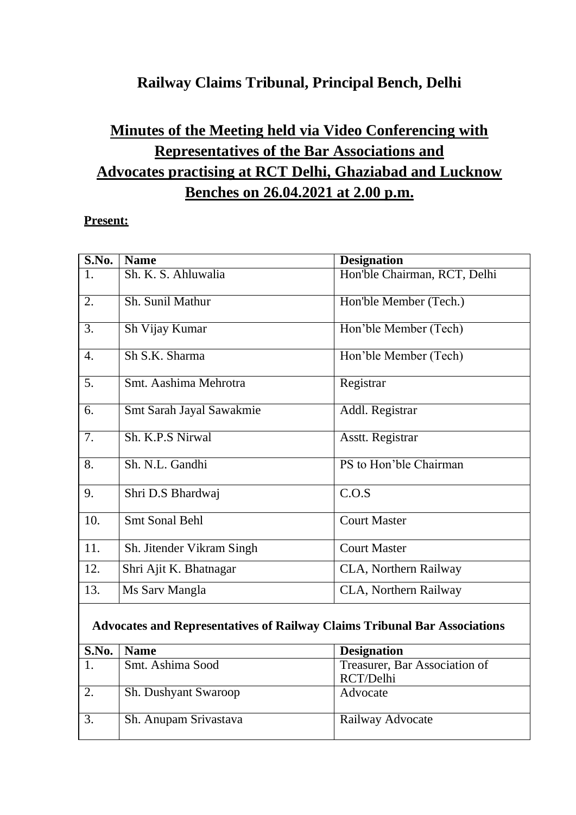## **Railway Claims Tribunal, Principal Bench, Delhi**

## **Minutes of the Meeting held via Video Conferencing with Representatives of the Bar Associations and Advocates practising at RCT Delhi, Ghaziabad and Lucknow Benches on 26.04.2021 at 2.00 p.m.**

## **Present:**

| S.No.            | <b>Name</b>               | <b>Designation</b>           |
|------------------|---------------------------|------------------------------|
| 1.               | Sh. K. S. Ahluwalia       | Hon'ble Chairman, RCT, Delhi |
| 2.               | Sh. Sunil Mathur          | Hon'ble Member (Tech.)       |
| 3.               | Sh Vijay Kumar            | Hon'ble Member (Tech)        |
| $\overline{4}$ . | Sh S.K. Sharma            | Hon'ble Member (Tech)        |
| 5.               | Smt. Aashima Mehrotra     | Registrar                    |
| 6.               | Smt Sarah Jayal Sawakmie  | Addl. Registrar              |
| 7.               | Sh. K.P.S Nirwal          | Asstt. Registrar             |
| 8.               | Sh. N.L. Gandhi           | PS to Hon'ble Chairman       |
| 9.               | Shri D.S Bhardwaj         | C.O.S                        |
| 10.              | <b>Smt Sonal Behl</b>     | <b>Court Master</b>          |
| 11.              | Sh. Jitender Vikram Singh | <b>Court Master</b>          |
| 12.              | Shri Ajit K. Bhatnagar    | CLA, Northern Railway        |
| 13.              | Ms Sarv Mangla            | CLA, Northern Railway        |
|                  |                           |                              |

## **Advocates and Representatives of Railway Claims Tribunal Bar Associations**

| S.No. | <b>Name</b>           | <b>Designation</b>            |  |
|-------|-----------------------|-------------------------------|--|
|       | Smt. Ashima Sood      | Treasurer, Bar Association of |  |
|       |                       | RCT/Delhi                     |  |
| 2.    | Sh. Dushyant Swaroop  | Advocate                      |  |
| 3.    | Sh. Anupam Srivastava | Railway Advocate              |  |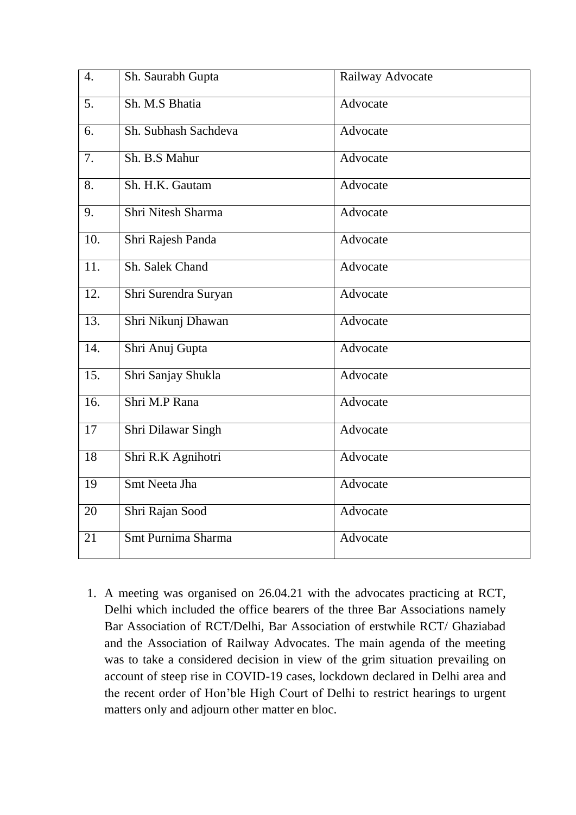| $\overline{4}$ .  | Sh. Saurabh Gupta    | Railway Advocate |
|-------------------|----------------------|------------------|
| 5.                | Sh. M.S Bhatia       | Advocate         |
| 6.                | Sh. Subhash Sachdeva | Advocate         |
| $\overline{7}$ .  | Sh. B.S Mahur        | Advocate         |
| $\overline{8}$ .  | Sh. H.K. Gautam      | Advocate         |
| 9.                | Shri Nitesh Sharma   | Advocate         |
| $\overline{10}$ . | Shri Rajesh Panda    | Advocate         |
| $\overline{11}$ . | Sh. Salek Chand      | Advocate         |
| $\overline{12}$ . | Shri Surendra Suryan | Advocate         |
| 13.               | Shri Nikunj Dhawan   | Advocate         |
| $\overline{14}$ . | Shri Anuj Gupta      | Advocate         |
| $\overline{15}$ . | Shri Sanjay Shukla   | Advocate         |
| $\overline{16}$ . | Shri M.P Rana        | Advocate         |
| 17                | Shri Dilawar Singh   | Advocate         |
| 18                | Shri R.K Agnihotri   | Advocate         |
| $\overline{19}$   | Smt Neeta Jha        | Advocate         |
| 20                | Shri Rajan Sood      | Advocate         |
| 21                | Smt Purnima Sharma   | Advocate         |

1. A meeting was organised on 26.04.21 with the advocates practicing at RCT, Delhi which included the office bearers of the three Bar Associations namely Bar Association of RCT/Delhi, Bar Association of erstwhile RCT/ Ghaziabad and the Association of Railway Advocates. The main agenda of the meeting was to take a considered decision in view of the grim situation prevailing on account of steep rise in COVID-19 cases, lockdown declared in Delhi area and the recent order of Hon'ble High Court of Delhi to restrict hearings to urgent matters only and adjourn other matter en bloc.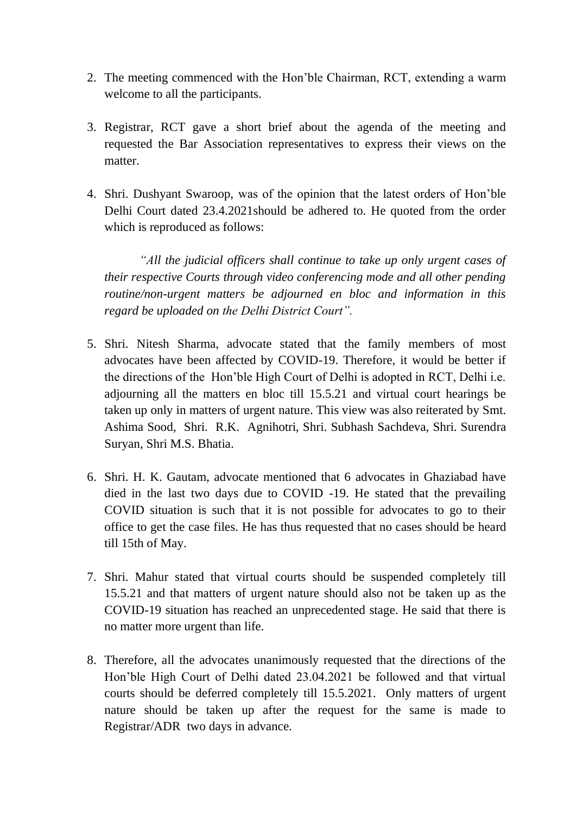- 2. The meeting commenced with the Hon'ble Chairman, RCT, extending a warm welcome to all the participants.
- 3. Registrar, RCT gave a short brief about the agenda of the meeting and requested the Bar Association representatives to express their views on the matter.
- 4. Shri. Dushyant Swaroop, was of the opinion that the latest orders of Hon'ble Delhi Court dated 23.4.2021should be adhered to. He quoted from the order which is reproduced as follows:

*"All the judicial officers shall continue to take up only urgent cases of their respective Courts through video conferencing mode and all other pending routine/non-urgent matters be adjourned en bloc and information in this regard be uploaded on the Delhi District Court".*

- 5. Shri. Nitesh Sharma, advocate stated that the family members of most advocates have been affected by COVID-19. Therefore, it would be better if the directions of the Hon'ble High Court of Delhi is adopted in RCT, Delhi i.e. adjourning all the matters en bloc till 15.5.21 and virtual court hearings be taken up only in matters of urgent nature. This view was also reiterated by Smt. Ashima Sood, Shri. R.K. Agnihotri, Shri. Subhash Sachdeva, Shri. Surendra Suryan, Shri M.S. Bhatia.
- 6. Shri. H. K. Gautam, advocate mentioned that 6 advocates in Ghaziabad have died in the last two days due to COVID -19. He stated that the prevailing COVID situation is such that it is not possible for advocates to go to their office to get the case files. He has thus requested that no cases should be heard till 15th of May.
- 7. Shri. Mahur stated that virtual courts should be suspended completely till 15.5.21 and that matters of urgent nature should also not be taken up as the COVID-19 situation has reached an unprecedented stage. He said that there is no matter more urgent than life.
- 8. Therefore, all the advocates unanimously requested that the directions of the Hon'ble High Court of Delhi dated 23.04.2021 be followed and that virtual courts should be deferred completely till 15.5.2021. Only matters of urgent nature should be taken up after the request for the same is made to Registrar/ADR two days in advance.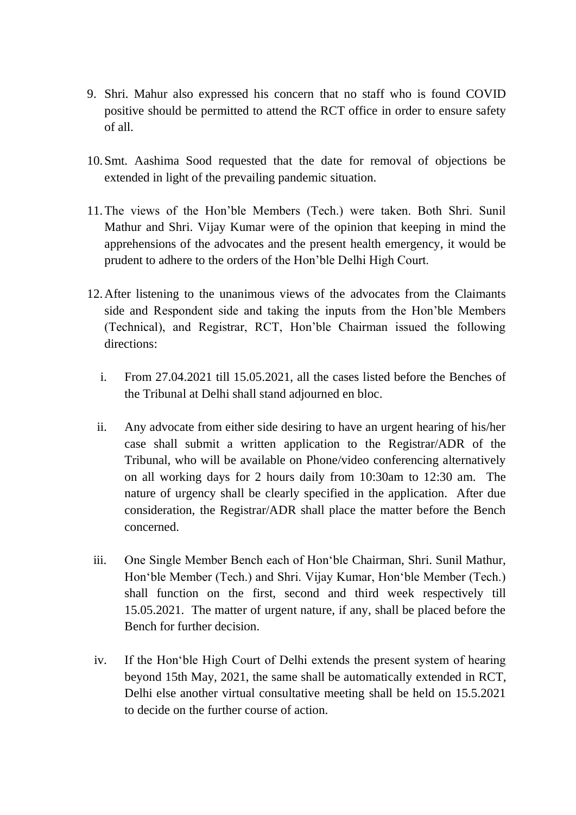- 9. Shri. Mahur also expressed his concern that no staff who is found COVID positive should be permitted to attend the RCT office in order to ensure safety of all.
- 10.Smt. Aashima Sood requested that the date for removal of objections be extended in light of the prevailing pandemic situation.
- 11.The views of the Hon'ble Members (Tech.) were taken. Both Shri. Sunil Mathur and Shri. Vijay Kumar were of the opinion that keeping in mind the apprehensions of the advocates and the present health emergency, it would be prudent to adhere to the orders of the Hon'ble Delhi High Court.
- 12.After listening to the unanimous views of the advocates from the Claimants side and Respondent side and taking the inputs from the Hon'ble Members (Technical), and Registrar, RCT, Hon'ble Chairman issued the following directions:
	- i. From 27.04.2021 till 15.05.2021, all the cases listed before the Benches of the Tribunal at Delhi shall stand adjourned en bloc.
	- ii. Any advocate from either side desiring to have an urgent hearing of his/her case shall submit a written application to the Registrar/ADR of the Tribunal, who will be available on Phone/video conferencing alternatively on all working days for 2 hours daily from 10:30am to 12:30 am. The nature of urgency shall be clearly specified in the application. After due consideration, the Registrar/ADR shall place the matter before the Bench concerned.
- iii. One Single Member Bench each of Hon'ble Chairman, Shri. Sunil Mathur, Hon'ble Member (Tech.) and Shri. Vijay Kumar, Hon'ble Member (Tech.) shall function on the first, second and third week respectively till 15.05.2021. The matter of urgent nature, if any, shall be placed before the Bench for further decision.
- iv. If the Hon'ble High Court of Delhi extends the present system of hearing beyond 15th May, 2021, the same shall be automatically extended in RCT, Delhi else another virtual consultative meeting shall be held on 15.5.2021 to decide on the further course of action.